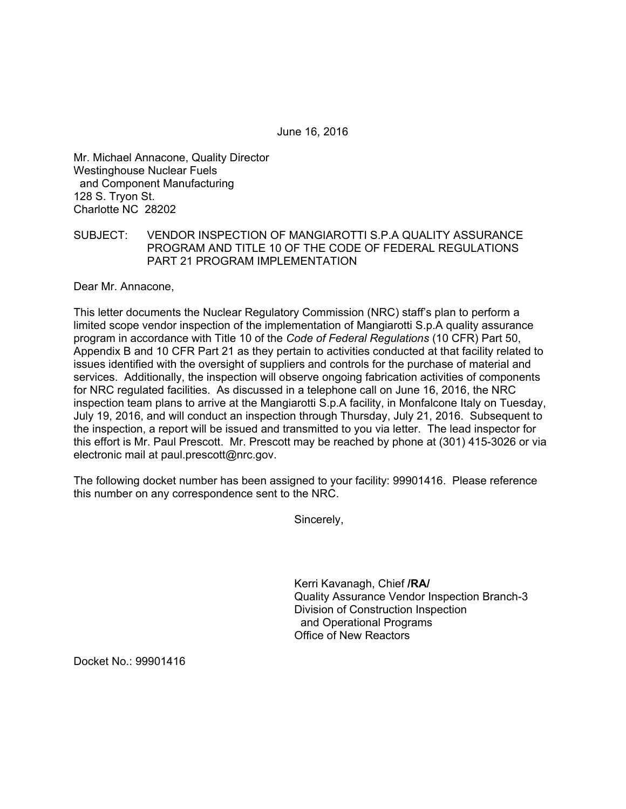June 16, 2016

Mr. Michael Annacone, Quality Director Westinghouse Nuclear Fuels and Component Manufacturing 128 S. Tryon St. Charlotte NC 28202

## SUBJECT: VENDOR INSPECTION OF MANGIAROTTI S.P.A QUALITY ASSURANCE PROGRAM AND TITLE 10 OF THE CODE OF FEDERAL REGULATIONS PART 21 PROGRAM IMPLEMENTATION

Dear Mr. Annacone,

This letter documents the Nuclear Regulatory Commission (NRC) staff's plan to perform a limited scope vendor inspection of the implementation of Mangiarotti S.p.A quality assurance program in accordance with Title 10 of the *Code of Federal Regulations* (10 CFR) Part 50, Appendix B and 10 CFR Part 21 as they pertain to activities conducted at that facility related to issues identified with the oversight of suppliers and controls for the purchase of material and services. Additionally, the inspection will observe ongoing fabrication activities of components for NRC regulated facilities. As discussed in a telephone call on June 16, 2016, the NRC inspection team plans to arrive at the Mangiarotti S.p.A facility, in Monfalcone Italy on Tuesday, July 19, 2016, and will conduct an inspection through Thursday, July 21, 2016. Subsequent to the inspection, a report will be issued and transmitted to you via letter. The lead inspector for this effort is Mr. Paul Prescott. Mr. Prescott may be reached by phone at (301) 415-3026 or via electronic mail at paul.prescott@nrc.gov.

The following docket number has been assigned to your facility: 99901416. Please reference this number on any correspondence sent to the NRC.

Sincerely,

Kerri Kavanagh, Chief **/RA/** Quality Assurance Vendor Inspection Branch-3 Division of Construction Inspection and Operational Programs Office of New Reactors

Docket No.: 99901416